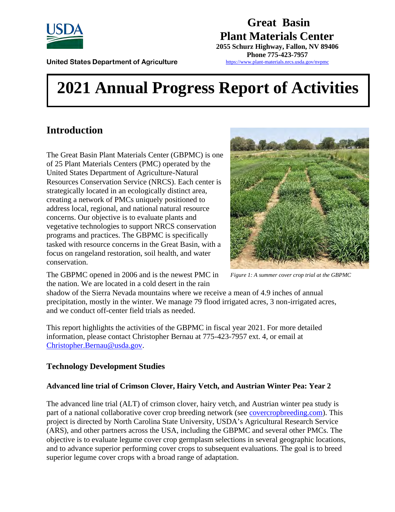

**Great Basin Plant Materials Center 2055 Schurz Highway, Fallon, NV 89406**

**Phone 775-423-7957** <https://www.plant-materials.nrcs.usda.gov/nvpmc>

**United States Department of Agriculture** 

# **2021 Annual Progress Report of Activities**

# **Introduction**

The Great Basin Plant Materials Center (GBPMC) is one of 25 Plant Materials Centers (PMC) operated by the United States Department of Agriculture-Natural Resources Conservation Service (NRCS). Each center is strategically located in an ecologically distinct area, creating a network of PMCs uniquely positioned to address local, regional, and national natural resource concerns. Our objective is to evaluate plants and vegetative technologies to support NRCS conservation programs and practices. The GBPMC is specifically tasked with resource concerns in the Great Basin, with a focus on rangeland restoration, soil health, and water conservation.



The GBPMC opened in 2006 and is the newest PMC in the nation. We are located in a cold desert in the rain

*Figure 1: A summer cover crop trial at the GBPMC*

shadow of the Sierra Nevada mountains where we receive a mean of 4.9 inches of annual precipitation, mostly in the winter. We manage 79 flood irrigated acres, 3 non-irrigated acres, and we conduct off-center field trials as needed.

This report highlights the activities of the GBPMC in fiscal year 2021. For more detailed information, please contact Christopher Bernau at 775-423-7957 ext. 4, or email at [Christopher.Bernau@usda.gov.](mailto:Christopher.Bernau@usda.gov)

# **Technology Development Studies**

# **Advanced line trial of Crimson Clover, Hairy Vetch, and Austrian Winter Pea: Year 2**

The advanced line trial (ALT) of crimson clover, hairy vetch, and Austrian winter pea study is part of a national collaborative cover crop breeding network (see covercropbreeding.com). This project is directed by North Carolina State University, USDA's Agricultural Research Service (ARS), and other partners across the USA, including the GBPMC and several other PMCs. The objective is to evaluate legume cover crop germplasm selections in several geographic locations, and to advance superior performing cover crops to subsequent evaluations. The goal is to breed superior legume cover crops with a broad range of adaptation.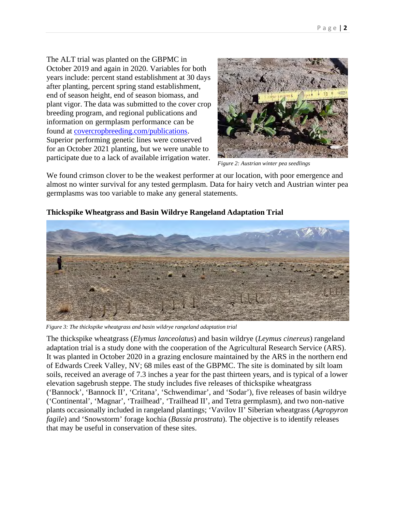The ALT trial was planted on the GBPMC in October 2019 and again in 2020. Variables for both years include: percent stand establishment at 30 days after planting, percent spring stand establishment, end of season height, end of season biomass, and plant vigor. The data was submitted to the cover crop breeding program, and regional publications and information on germplasm performance can be found at [covercropbreeding.com/publications](https://www.covercropbreeding.com/publications). Superior performing genetic lines were conserved for an October 2021 planting, but we were unable to participate due to a lack of available irrigation water.



*Figure 2: Austrian winter pea seedlings*

We found crimson clover to be the weakest performer at our location, with poor emergence and almost no winter survival for any tested germplasm. Data for hairy vetch and Austrian winter pea germplasms was too variable to make any general statements.



**Thickspike Wheatgrass and Basin Wildrye Rangeland Adaptation Trial**

*Figure 3: The thickspike wheatgrass and basin wildrye rangeland adaptation trial*

The thickspike wheatgrass (*Elymus lanceolatus*) and basin wildrye (*Leymus cinereus*) rangeland adaptation trial is a study done with the cooperation of the Agricultural Research Service (ARS). It was planted in October 2020 in a grazing enclosure maintained by the ARS in the northern end of Edwards Creek Valley, NV; 68 miles east of the GBPMC. The site is dominated by silt loam soils, received an average of 7.3 inches a year for the past thirteen years, and is typical of a lower elevation sagebrush steppe. The study includes five releases of thickspike wheatgrass ('Bannock', 'Bannock II', 'Critana', 'Schwendimar', and 'Sodar'), five releases of basin wildrye ('Continental', 'Magnar', 'Trailhead', 'Trailhead II', and Tetra germplasm), and two non-native plants occasionally included in rangeland plantings; 'Vavilov II' Siberian wheatgrass (*Agropyron fagile*) and 'Snowstorm' forage kochia (*Bassia prostrata*). The objective is to identify releases that may be useful in conservation of these sites.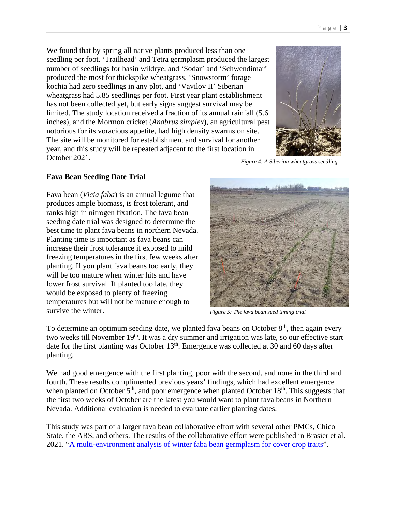We found that by spring all native plants produced less than one seedling per foot. 'Trailhead' and Tetra germplasm produced the largest number of seedlings for basin wildrye, and 'Sodar' and 'Schwendimar' produced the most for thickspike wheatgrass. 'Snowstorm' forage kochia had zero seedlings in any plot, and 'Vavilov II' Siberian wheatgrass had 5.85 seedlings per foot. First year plant establishment has not been collected yet, but early signs suggest survival may be limited. The study location received a fraction of its annual rainfall (5.6 inches), and the Mormon cricket (*Anabrus simplex*), an agricultural pest notorious for its voracious appetite, had high density swarms on site. The site will be monitored for establishment and survival for another year, and this study will be repeated adjacent to the first location in October 2021.



*Figure 4: A Siberian wheatgrass seedling.*

#### **Fava Bean Seeding Date Trial**

Fava bean (*Vicia faba*) is an annual legume that produces ample biomass, is frost tolerant, and ranks high in nitrogen fixation. The fava bean seeding date trial was designed to determine the best time to plant fava beans in northern Nevada. Planting time is important as fava beans can increase their frost tolerance if exposed to mild freezing temperatures in the first few weeks after planting. If you plant fava beans too early, they will be too mature when winter hits and have lower frost survival. If planted too late, they would be exposed to plenty of freezing temperatures but will not be mature enough to survive the winter.



*Figure 5: The fava bean seed timing trial*

To determine an optimum seeding date, we planted fava beans on October  $8<sup>th</sup>$ , then again every two weeks till November 19<sup>th</sup>. It was a dry summer and irrigation was late, so our effective start date for the first planting was October  $13<sup>th</sup>$ . Emergence was collected at 30 and 60 days after planting.

We had good emergence with the first planting, poor with the second, and none in the third and fourth. These results complimented previous years' findings, which had excellent emergence when planted on October  $5<sup>th</sup>$ , and poor emergence when planted October 18<sup>th</sup>. This suggests that the first two weeks of October are the latest you would want to plant fava beans in Northern Nevada. Additional evaluation is needed to evaluate earlier planting dates.

This study was part of a larger fava bean collaborative effort with several other PMCs, Chico State, the ARS, and others. The results of the collaborative effort were published in Brasier et al. 2021. "A [multi-environment](https://acsess.onlinelibrary.wiley.com/doi/full/10.1002/agj2.20717) analysis of winter faba bean germplasm for cover crop traits".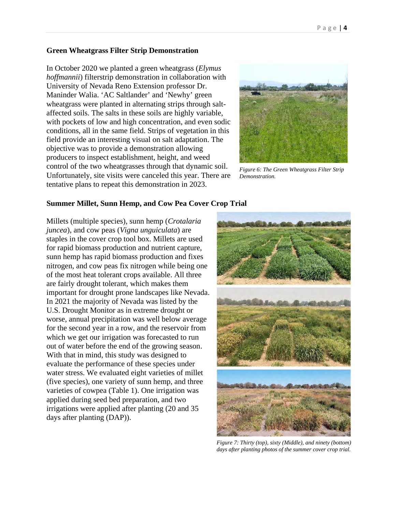#### **Green Wheatgrass Filter Strip Demonstration**

In October 2020 we planted a green wheatgrass (*Elymus hoffmannii*) filterstrip demonstration in collaboration with University of Nevada Reno Extension professor Dr. Maninder Walia. 'AC Saltlander' and 'Newhy' green wheatgrass were planted in alternating strips through saltaffected soils. The salts in these soils are highly variable, with pockets of low and high concentration, and even sodic conditions, all in the same field. Strips of vegetation in this field provide an interesting visual on salt adaptation. The objective was to provide a demonstration allowing producers to inspect establishment, height, and weed control of the two wheatgrasses through that dynamic soil. Unfortunately, site visits were canceled this year. There are tentative plans to repeat this demonstration in 2023.



*Figure 6: The Green Wheatgrass Filter Strip Demonstration.*

#### **Summer Millet, Sunn Hemp, and Cow Pea Cover Crop Trial**

Millets (multiple species), sunn hemp (*Crotalaria juncea*), and cow peas (*Vigna unguiculata*) are staples in the cover crop tool box. Millets are used for rapid biomass production and nutrient capture, sunn hemp has rapid biomass production and fixes nitrogen, and cow peas fix nitrogen while being one of the most heat tolerant crops available. All three are fairly drought tolerant, which makes them important for drought prone landscapes like Nevada. In 2021 the majority of Nevada was listed by the U.S. Drought Monitor as in extreme drought or worse, annual precipitation was well below average for the second year in a row, and the reservoir from which we get our irrigation was forecasted to run out of water before the end of the growing season. With that in mind, this study was designed to evaluate the performance of these species under water stress. We evaluated eight varieties of millet (five species), one variety of sunn hemp, and three varieties of cowpea (Table 1). One irrigation was applied during seed bed preparation, and two irrigations were applied after planting (20 and 35 days after planting (DAP)).



*Figure 7: Thirty (top), sixty (Middle), and ninety (bottom) days after planting photos of the summer cover crop trial.*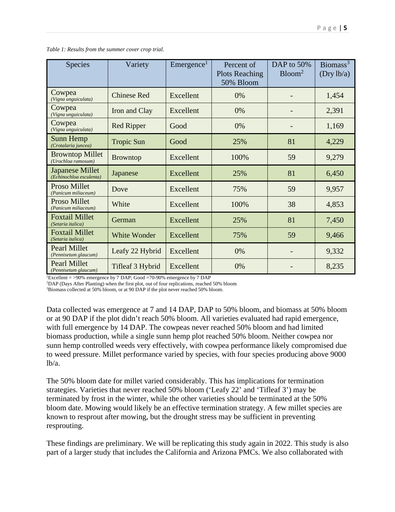| <b>Species</b>                                    | Variety             | $E$ mergence <sup>1</sup> | Percent of<br><b>Plots Reaching</b><br>50% Bloom | DAP to 50%<br>Bloom <sup>2</sup> | Biomass <sup>3</sup><br>(Dry lb/a) |
|---------------------------------------------------|---------------------|---------------------------|--------------------------------------------------|----------------------------------|------------------------------------|
| Cowpea<br>(Vigna unguiculata)                     | <b>Chinese Red</b>  | Excellent                 | 0%                                               |                                  | 1,454                              |
| Cowpea<br>(Vigna unguiculata)                     | Iron and Clay       | Excellent                 | 0%                                               |                                  | 2,391                              |
| Cowpea<br>(Vigna unguiculata)                     | <b>Red Ripper</b>   | Good                      | 0%                                               |                                  | 1,169                              |
| Sunn Hemp<br>(Crotalaria juncea)                  | <b>Tropic Sun</b>   | Good                      | 25%                                              | 81                               | 4,229                              |
| <b>Browntop Millet</b><br>(Urochloa ramosum)      | <b>Browntop</b>     | Excellent                 | 100%                                             | 59                               | 9,279                              |
| <b>Japanese Millet</b><br>(Echinochloa esculenta) | Japanese            | Excellent                 | 25%                                              | 81                               | 6,450                              |
| Proso Millet<br>(Panicum miliaceum)               | Dove                | Excellent                 | 75%                                              | 59                               | 9,957                              |
| Proso Millet<br>(Panicum miliaceum)               | White               | Excellent                 | 100%                                             | 38                               | 4,853                              |
| <b>Foxtail Millet</b><br>(Setaria italica)        | German              | Excellent                 | 25%                                              | 81                               | 7,450                              |
| <b>Foxtail Millet</b><br>(Setaria italica)        | <b>White Wonder</b> | Excellent                 | 75%                                              | 59                               | 9,466                              |
| <b>Pearl Millet</b><br>(Pennisetum glaucum)       | Leafy 22 Hybrid     | Excellent                 | 0%                                               |                                  | 9,332                              |
| <b>Pearl Millet</b><br>(Pennisetum glaucum)       | Tifleaf 3 Hybrid    | Excellent                 | 0%                                               |                                  | 8,235                              |

| Table 1: Results from the summer cover crop trial. |  |
|----------------------------------------------------|--|
|----------------------------------------------------|--|

<sup>1</sup>Excellent = >90% emergence by 7 DAP; Good =  $70-90%$  emergence by 7 DAP

<sup>2</sup>DAP (Days After Planting) when the first plot, out of four replications, reached 50% bloom

<sup>3</sup>Biomass collected at 50% bloom, or at 90 DAP if the plot never reached 50% bloom.

Data collected was emergence at 7 and 14 DAP, DAP to 50% bloom, and biomass at 50% bloom or at 90 DAP if the plot didn't reach 50% bloom. All varieties evaluated had rapid emergence, with full emergence by 14 DAP. The cowpeas never reached 50% bloom and had limited biomass production, while a single sunn hemp plot reached 50% bloom. Neither cowpea nor sunn hemp controlled weeds very effectively, with cowpea performance likely compromised due to weed pressure. Millet performance varied by species, with four species producing above 9000 lb/a.

The 50% bloom date for millet varied considerably. This has implications for termination strategies. Varieties that never reached 50% bloom ('Leafy 22' and 'Tifleaf 3') may be terminated by frost in the winter, while the other varieties should be terminated at the 50% bloom date. Mowing would likely be an effective termination strategy. A few millet species are known to resprout after mowing, but the drought stress may be sufficient in preventing resprouting.

These findings are preliminary. We will be replicating this study again in 2022. This study is also part of a larger study that includes the California and Arizona PMCs. We also collaborated with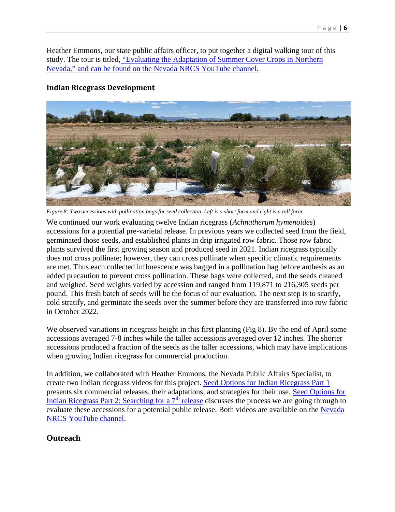Heather Emmons, our state public affairs officer, to put together a digital walking tour of this study. The tour is titled, ["Evaluating the Adaptation of Summer Cover Crops in Northern](https://www.youtube.com/watch?v=uldo71v22EY) Nevada," and can be found on the Nevada [NRCS YouTube](https://www.youtube.com/watch?v=uldo71v22EY) channel.

# **Indian Ricegrass Development**



Figure 8: Two accessions with pollination bags for seed collection. Left is a short form and right is a tall form.

We continued our work evaluating twelve Indian ricegrass (*Achnatherum hymenoides*) accessions for a potential pre-varietal release. In previous years we collected seed from the field, germinated those seeds, and established plants in drip irrigated row fabric. Those row fabric plants survived the first growing season and produced seed in 2021. Indian ricegrass typically does not cross pollinate; however, they can cross pollinate when specific climatic requirements are met. Thus each collected inflorescence was bagged in a pollination bag before anthesis as an added precaution to prevent cross pollination. These bags were collected, and the seeds cleaned and weighed. Seed weights varied by accession and ranged from 119,871 to 216,305 seeds per pound. This fresh batch of seeds will be the focus of our evaluation. The next step is to scarify, cold stratify, and germinate the seeds over the summer before they are transferred into row fabric in October 2022.

We observed variations in ricegrass height in this first planting (Fig 8). By the end of April some accessions averaged 7-8 inches while the taller accessions averaged over 12 inches. The shorter accessions produced a fraction of the seeds as the taller accessions, which may have implications when growing Indian ricegrass for commercial production.

In addition, we collaborated with Heather Emmons, the Nevada Public Affairs Specialist, to create two Indian ricegrass videos for this project. [Seed Options for Indian Ricegrass Part 1](https://www.youtube.com/watch?v=d5HGLjzhPkg) presents six commercial releases, their adaptations, and strategies for their use. [Seed Options for](https://www.youtube.com/watch?v=wqlMfgeYxOA&t=251s) Indian Ricegrass Part 2: [Searching](https://www.youtube.com/watch?v=wqlMfgeYxOA&t=251s) for a 7<sup>th</sup> [release](https://www.youtube.com/watch?v=wqlMfgeYxOA&t=251s) discusses the process we are going through to evaluate these accessions for a potential public release. Both videos are available on the [Nevada](https://www.youtube.com/channel/UC4RTxtbAQC5C9WptHtJ3S_g) NRCS [YouTube](https://www.youtube.com/channel/UC4RTxtbAQC5C9WptHtJ3S_g) channel.

# **Outreach**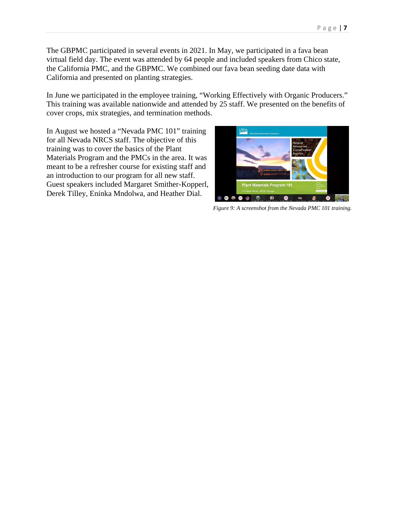The GBPMC participated in several events in 2021. In May, we participated in a fava bean virtual field day. The event was attended by 64 people and included speakers from Chico state, the California PMC, and the GBPMC. We combined our fava bean seeding date data with California and presented on planting strategies.

In June we participated in the employee training, "Working Effectively with Organic Producers." This training was available nationwide and attended by 25 staff. We presented on the benefits of cover crops, mix strategies, and termination methods.

In August we hosted a "Nevada PMC 101" training for all Nevada NRCS staff. The objective of this training was to cover the basics of the Plant Materials Program and the PMCs in the area. It was meant to be a refresher course for existing staff and an introduction to our program for all new staff. Guest speakers included Margaret Smither-Kopperl, Derek Tilley, Eninka Mndolwa, and Heather Dial.



*Figure 9: A screenshot from the Nevada PMC 101 training.*